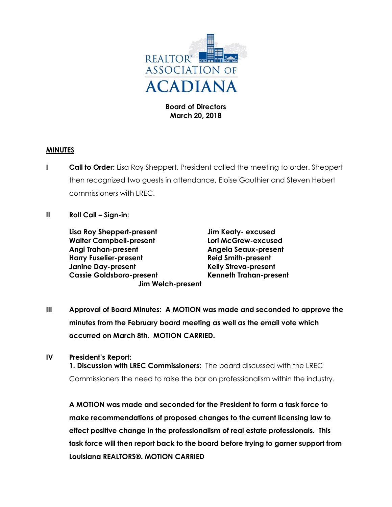

**Board of Directors March 20, 2018**

## **MINUTES**

- **I Call to Order:** Lisa Roy Sheppert, President called the meeting to order. Sheppert then recognized two guests in attendance, Eloise Gauthier and Steven Hebert commissioners with LREC.
- **II Roll Call – Sign-in:**

**Lisa Roy Sheppert-present Jim Keaty- excused Walter Campbell-present Lori McGrew-excused Angi Trahan-present Angela Seaux-present Harry Fuselier-present Reid Smith-present Janine Day-present Kelly Streva-present Cassie Goldsboro-present Kenneth Trahan-present Jim Welch-present**

**III Approval of Board Minutes: A MOTION was made and seconded to approve the minutes from the February board meeting as well as the email vote which occurred on March 8th. MOTION CARRIED.**

## **IV President's Report:**

**1. Discussion with LREC Commissioners:** The board discussed with the LREC Commissioners the need to raise the bar on professionalism within the industry.

**A MOTION was made and seconded for the President to form a task force to make recommendations of proposed changes to the current licensing law to effect positive change in the professionalism of real estate professionals. This task force will then report back to the board before trying to garner support from Louisiana REALTORS®. MOTION CARRIED**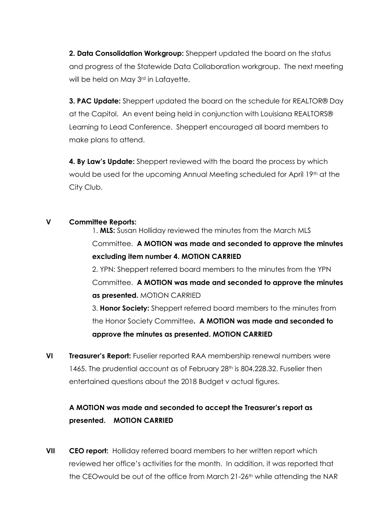**2. Data Consolidation Workgroup:** Sheppert updated the board on the status and progress of the Statewide Data Collaboration workgroup. The next meeting will be held on May 3<sup>rd</sup> in Lafayette.

**3. PAC Update:** Sheppert updated the board on the schedule for REALTOR® Day at the Capitol. An event being held in conjunction with Louisiana REALTORS® Learning to Lead Conference. Sheppert encouraged all board members to make plans to attend.

**4. By Law's Update:** Sheppert reviewed with the board the process by which would be used for the upcoming Annual Meeting scheduled for April 19th at the City Club.

## **V Committee Reports:**

1. **MLS:** Susan Holliday reviewed the minutes from the March MLS Committee. **A MOTION was made and seconded to approve the minutes excluding item number 4. MOTION CARRIED** 2. YPN: Sheppert referred board members to the minutes from the YPN Committee. **A MOTION was made and seconded to approve the minutes as presented.** MOTION CARRIED 3. **Honor Society:** Sheppert referred board members to the minutes from

the Honor Society Committee**. A MOTION was made and seconded to approve the minutes as presented. MOTION CARRIED**

**VI Treasurer's Report:** Fuselier reported RAA membership renewal numbers were 1465. The prudential account as of February  $28<sup>th</sup>$  is 804,228.32. Fuselier then entertained questions about the 2018 Budget v actual figures.

## **A MOTION was made and seconded to accept the Treasurer's report as presented. MOTION CARRIED**

**VII CEO report:** Holliday referred board members to her written report which reviewed her office's activities for the month. In addition, it was reported that the CEOwould be out of the office from March 21-26<sup>th</sup> while attending the NAR